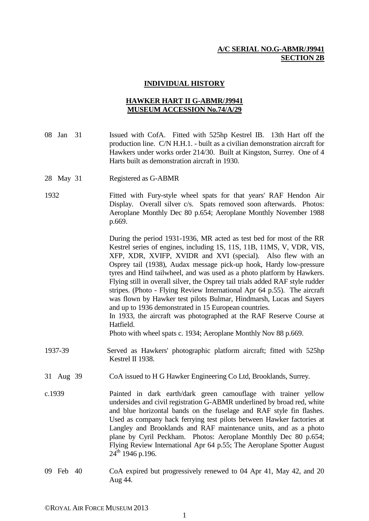## **A/C SERIAL NO.G-ABMR/J9941 SECTION 2B**

## **INDIVIDUAL HISTORY**

## **HAWKER HART II G-ABMR/J9941 MUSEUM ACCESSION No.74/A/29**

- 08 Jan 31 Issued with CofA. Fitted with 525hp Kestrel IB. 13th Hart off the production line. C/N H.H.1. - built as a civilian demonstration aircraft for Hawkers under works order 214/30. Built at Kingston, Surrey. One of 4 Harts built as demonstration aircraft in 1930.
- 28 May 31 Registered as G-ABMR
- 1932 Fitted with Fury-style wheel spats for that years' RAF Hendon Air Display. Overall silver c/s. Spats removed soon afterwards. Photos: Aeroplane Monthly Dec 80 p.654; Aeroplane Monthly November 1988 p.669.

 During the period 1931-1936, MR acted as test bed for most of the RR Kestrel series of engines, including 1S, 11S, 11B, 11MS, V, VDR, VIS, XFP, XDR, XVIFP, XVIDR and XVI (special). Also flew with an Osprey tail (1938), Audax message pick-up hook, Hardy low-pressure tyres and Hind tailwheel, and was used as a photo platform by Hawkers. Flying still in overall silver, the Osprey tail trials added RAF style rudder stripes. (Photo - Flying Review International Apr 64 p.55). The aircraft was flown by Hawker test pilots Bulmar, Hindmarsh, Lucas and Sayers and up to 1936 demonstrated in 15 European countries. In 1933, the aircraft was photographed at the RAF Reserve Course at

Hatfield.

Photo with wheel spats c. 1934; Aeroplane Monthly Nov 88 p.669.

- 1937-39 Served as Hawkers' photographic platform aircraft; fitted with 525hp Kestrel II 1938.
- 31 Aug 39 CoA issued to H G Hawker Engineering Co Ltd, Brooklands, Surrey.
- c.1939 Painted in dark earth/dark green camouflage with trainer yellow undersides and civil registration G-ABMR underlined by broad red, white and blue horizontal bands on the fuselage and RAF style fin flashes. Used as company hack ferrying test pilots between Hawker factories at Langley and Brooklands and RAF maintenance units, and as a photo plane by Cyril Peckham. Photos: Aeroplane Monthly Dec 80 p.654; Flying Review International Apr 64 p.55; The Aeroplane Spotter August  $24^{th}$  1946 p.196.
- 09 Feb 40 CoA expired but progressively renewed to 04 Apr 41, May 42, and 20 Aug 44.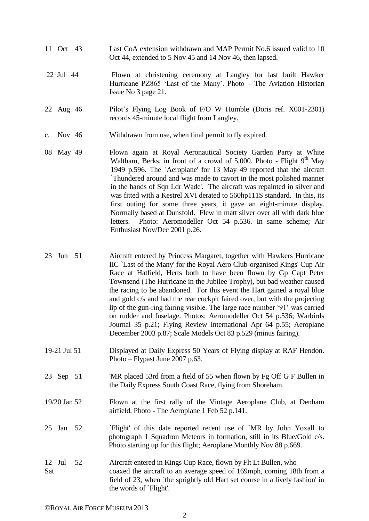- 11 Oct 43 Last CoA extension withdrawn and MAP Permit No.6 issued valid to 10 Oct 44, extended to 5 Nov 45 and 14 Nov 46, then lapsed.
- 22 Jul 44 Flown at christening ceremony at Langley for last built Hawker Hurricane PZ865 'Last of the Many'. Photo – The Aviation Historian Issue No 3 page 21.
- 22 Aug 46 Pilot's Flying Log Book of F/O W Humble (Doris ref. X001-2301) records 45-minute local flight from Langley.
- c. Nov 46 Withdrawn from use, when final permit to fly expired.
- 08 May 49 Flown again at Royal Aeronautical Society Garden Party at White Waltham, Berks, in front of a crowd of 5,000. Photo - Flight  $9<sup>th</sup>$  May 1949 p.596. The `Aeroplane' for 13 May 49 reported that the aircraft `Thundered around and was made to cavort in the most polished manner in the hands of Sqn Ldr Wade'. The aircraft was repainted in silver and was fitted with a Kestrel XVI derated to 560hp111S standard. In this, its first outing for some three years, it gave an eight-minute display. Normally based at Dunsfold. Flew in matt silver over all with dark blue letters. Photo: Aeromodeller Oct 54 p.536. In same scheme; Air Enthusiast Nov/Dec 2001 p.26.
- 23 Jun 51 Aircraft entered by Princess Margaret, together with Hawkers Hurricane IIC `Last of the Many' for the Royal Aero Club-organised Kings' Cup Air Race at Hatfield, Herts both to have been flown by Gp Capt Peter Townsend (The Hurricane in the Jubilee Trophy), but bad weather caused the racing to be abandoned. For this event the Hart gained a royal blue and gold c/s and had the rear cockpit faired over, but with the projecting lip of the gun-ring fairing visible. The large race number '91' was carried on rudder and fuselage. Photos: Aeromodeller Oct 54 p.536; Warbirds Journal 35 p.21; Flying Review International Apr 64 p.55; Aeroplane December 2003 p.87; Scale Models Oct 83 p.529 (minus fairing).
- 19-21 Jul 51 Displayed at Daily Express 50 Years of Flying display at RAF Hendon. Photo – Flypast June 2007 p.63.
- 23 Sep 51 'MR placed 53rd from a field of 55 when flown by Fg Off G F Bullen in the Daily Express South Coast Race, flying from Shoreham.
- 19/20 Jan 52 Flown at the first rally of the Vintage Aeroplane Club, at Denham airfield. Photo - The Aeroplane 1 Feb 52 p.141.
- 25 Jan 52 `Flight' of this date reported recent use of `MR by John Yoxall to photograph 1 Squadron Meteors in formation, still in its Blue/Gold c/s. Photo starting up for this flight; Aeroplane Monthly Nov 88 p.669.
- 12 Jul 52 Aircraft entered in Kings Cup Race, flown by Flt Lt Bullen, who Sat coaxed the aircraft to an average speed of 169mph, coming 18th from a field of 23, when `the sprightly old Hart set course in a lively fashion' in the words of `Flight'.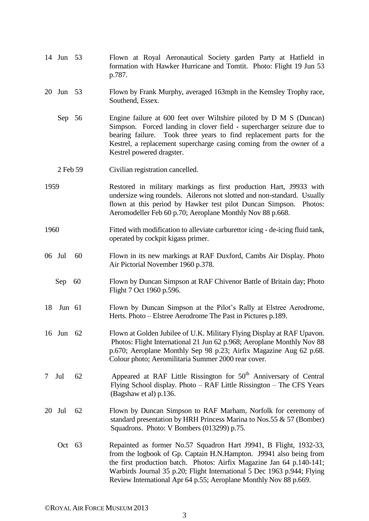- 14 Jun 53 Flown at Royal Aeronautical Society garden Party at Hatfield in formation with Hawker Hurricane and Tomtit. Photo: Flight 19 Jun 53 p.787.
- 20 Jun 53 Flown by Frank Murphy, averaged 163mph in the Kemsley Trophy race, Southend, Essex.
	- Sep 56 Engine failure at 600 feet over Wiltshire piloted by D M S (Duncan) Simpson. Forced landing in clover field - supercharger seizure due to bearing failure. Took three years to find replacement parts for the Kestrel, a replacement supercharge casing coming from the owner of a Kestrel powered dragster.
	- 2 Feb 59 Civilian registration cancelled.
- 1959 Restored in military markings as first production Hart, J9933 with undersize wing roundels. Ailerons not slotted and non-standard. Usually flown at this period by Hawker test pilot Duncan Simpson. Photos: Aeromodeller Feb 60 p.70; Aeroplane Monthly Nov 88 p.668.
- 1960 Fitted with modification to alleviate carburettor icing de-icing fluid tank, operated by cockpit kigass primer.
- 06 Jul 60 Flown in its new markings at RAF Duxford, Cambs Air Display. Photo Air Pictorial November 1960 p.378.
	- Sep 60 Flown by Duncan Simpson at RAF Chivenor Battle of Britain day; Photo Flight 7 Oct 1960 p.596.
- 18 Jun 61 Flown by Duncan Simpson at the Pilot's Rally at Elstree Aerodrome, Herts. Photo – Elstree Aerodrome The Past in Pictures p.189.
- 16 Jun 62 Flown at Golden Jubilee of U.K. Military Flying Display at RAF Upavon. Photos: Flight International 21 Jun 62 p.968; Aeroplane Monthly Nov 88 p.670; Aeroplane Monthly Sep 98 p.23; Airfix Magazine Aug 62 p.68. Colour photo; Aeromilitaria Summer 2000 rear cover.
- 7 Jul  $62$  Appeared at RAF Little Rissington for  $50<sup>th</sup>$  Anniversary of Central Flying School display. Photo – RAF Little Rissington – The CFS Years (Bagshaw et al) p.136.
- 20 Jul 62 Flown by Duncan Simpson to RAF Marham, Norfolk for ceremony of standard presentation by HRH Princess Marina to Nos.55 & 57 (Bomber) Squadrons. Photo: V Bombers (013299) p.75.
	- Oct 63 Repainted as former No.57 Squadron Hart J9941, B Flight, 1932-33, from the logbook of Gp. Captain H.N.Hampton. J9941 also being from the first production batch. Photos: Airfix Magazine Jan 64 p.140-141; Warbirds Journal 35 p.20; Flight International 5 Dec 1963 p.944; Flying Review International Apr 64 p.55; Aeroplane Monthly Nov 88 p.669.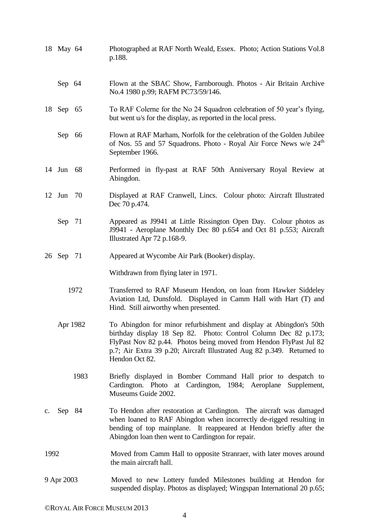|                | 18 May 64 |      | Photographed at RAF North Weald, Essex. Photo; Action Stations Vol.8<br>p.188.                                                                                                                                                                                                                          |
|----------------|-----------|------|---------------------------------------------------------------------------------------------------------------------------------------------------------------------------------------------------------------------------------------------------------------------------------------------------------|
|                | Sep 64    |      | Flown at the SBAC Show, Farnborough. Photos - Air Britain Archive<br>No.4 1980 p.99; RAFM PC73/59/146.                                                                                                                                                                                                  |
|                | 18 Sep 65 |      | To RAF Colerne for the No 24 Squadron celebration of 50 year's flying,<br>but went u/s for the display, as reported in the local press.                                                                                                                                                                 |
|                | Sep 66    |      | Flown at RAF Marham, Norfolk for the celebration of the Golden Jubilee<br>of Nos. 55 and 57 Squadrons. Photo - Royal Air Force News w/e 24 <sup>th</sup><br>September 1966.                                                                                                                             |
|                | 14 Jun 68 |      | Performed in fly-past at RAF 50th Anniversary Royal Review at<br>Abingdon.                                                                                                                                                                                                                              |
|                | 12 Jun    | 70   | Displayed at RAF Cranwell, Lincs. Colour photo: Aircraft Illustrated<br>Dec 70 p.474.                                                                                                                                                                                                                   |
|                | Sep 71    |      | Appeared as J9941 at Little Rissington Open Day. Colour photos as<br>J9941 - Aeroplane Monthly Dec 80 p.654 and Oct 81 p.553; Aircraft<br>Illustrated Apr 72 p.168-9.                                                                                                                                   |
|                | 26 Sep 71 |      | Appeared at Wycombe Air Park (Booker) display.                                                                                                                                                                                                                                                          |
|                |           |      | Withdrawn from flying later in 1971.                                                                                                                                                                                                                                                                    |
| 1972           |           |      | Transferred to RAF Museum Hendon, on loan from Hawker Siddeley<br>Aviation Ltd, Dunsfold. Displayed in Camm Hall with Hart (T) and<br>Hind. Still airworthy when presented.                                                                                                                             |
|                | Apr 1982  |      | To Abingdon for minor refurbishment and display at Abingdon's 50th<br>birthday display 18 Sep 82. Photo: Control Column Dec 82 p.173;<br>FlyPast Nov 82 p.44. Photos being moved from Hendon FlyPast Jul 82<br>p.7; Air Extra 39 p.20; Aircraft Illustrated Aug 82 p.349. Returned to<br>Hendon Oct 82. |
|                |           | 1983 | Briefly displayed in Bomber Command Hall prior to despatch to<br>Cardington. Photo at Cardington, 1984; Aeroplane<br>Supplement,<br>Museums Guide 2002.                                                                                                                                                 |
| $\mathbf{c}$ . | Sep 84    |      | To Hendon after restoration at Cardington. The aircraft was damaged<br>when loaned to RAF Abingdon when incorrectly de-rigged resulting in<br>bending of top mainplane. It reappeared at Hendon briefly after the<br>Abingdon loan then went to Cardington for repair.                                  |
| 1992           |           |      | Moved from Camm Hall to opposite Stranraer, with later moves around<br>the main aircraft hall.                                                                                                                                                                                                          |
| 9 Apr 2003     |           |      | Moved to new Lottery funded Milestones building at Hendon for<br>suspended display. Photos as displayed; Wingspan International 20 p.65;                                                                                                                                                                |